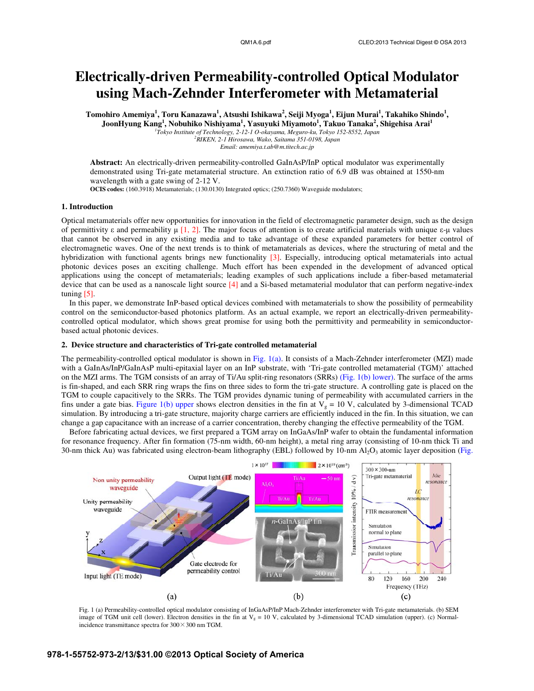# **Electrically-driven Permeability-controlled Optical Modulator using Mach-Zehnder Interferometer with Metamaterial**

 $\bf{T}$ omohiro Amemiya<sup>1</sup>,  $\bf{T}$ oru Kanazawa<sup>1</sup>, Atsushi Ishikawa $^2$ , Seiji Myoga<sup>1</sup>, Eijun Murai<sup>1</sup>, Takahiko Shindo $^1$ , **JoonHyung Kang<sup>1</sup>**, Nobuhiko Nishiyama<sup>1</sup>, Yasuyuki Miyamoto<sup>1</sup>, Takuo Tanaka<sup>2</sup>, Shigehisa Arai<sup>1</sup><br>
<sup>1</sup>Tokyo Institute of Technology, 2-12-1 O-okayama, Meguro-ku, Tokyo 152-8552, Japan<br>
<sup>2</sup>PIVEN 2.1 Hispanya Waka Saitaw *RIKEN, 2-1 Hirosawa, Wako, Saitama 351-0198, Japan* 

*Email: amemiya.t.ab@m.titech.ac.jp* 

**Abstract:** An electrically-driven permeability-controlled GaInAsP/InP optical modulator was experimentally demonstrated using Tri-gate metamaterial structure. An extinction ratio of 6.9 dB was obtained at 1550-nm wavelength with a gate swing of 2-12 V.

**OCIS codes:** (160.3918) Metamaterials; (130.0130) Integrated optics; (250.7360) Waveguide modulators;

## **1. Introduction**

Optical metamaterials offer new opportunities for innovation in the field of electromagnetic parameter design, such as the design of permittivity  $\varepsilon$  and permeability  $\mu$  [1, 2]. The major focus of attention is to create artificial materials with unique  $\varepsilon$ - $\mu$  values that cannot be observed in any existing media and to take advantage of these expanded parameters for better control of electromagnetic waves. One of the next trends is to think of metamaterials as devices, where the structuring of metal and the hybridization with functional agents brings new functionality [3]. Especially, introducing optical metamaterials into actual photonic devices poses an exciting challenge. Much effort has been expended in the development of advanced optical applications using the concept of metamaterials; leading examples of such applications include a fiber-based metamaterial device that can be used as a nanoscale light source [4] and a Si-based metamaterial modulator that can perform negative-index tuning [5].

In this paper, we demonstrate InP-based optical devices combined with metamaterials to show the possibility of permeability control on the semiconductor-based photonics platform. As an actual example, we report an electrically-driven permeabilitycontrolled optical modulator, which shows great promise for using both the permittivity and permeability in semiconductorbased actual photonic devices.

### **2. Device structure and characteristics of Tri-gate controlled metamaterial**

The permeability-controlled optical modulator is shown in Fig. 1(a). It consists of a Mach-Zehnder interferometer (MZI) made with a GaInAs/InP/GaInAsP multi-epitaxial layer on an InP substrate, with 'Tri-gate controlled metamaterial (TGM)' attached on the MZI arms. The TGM consists of an array of Ti/Au split-ring resonators (SRRs) (Fig. 1(b) lower). The surface of the arms is fin-shaped, and each SRR ring wraps the fins on three sides to form the tri-gate structure. A controlling gate is placed on the TGM to couple capacitively to the SRRs. The TGM provides dynamic tuning of permeability with accumulated carriers in the fins under a gate bias. Figure 1(b) upper shows electron densities in the fin at  $V_g = 10$  V, calculated by 3-dimensional TCAD simulation. By introducing a tri-gate structure, majority charge carriers are efficiently induced in the fin. In this situation, we can change a gap capacitance with an increase of a carrier concentration, thereby changing the effective permeability of the TGM.

Before fabricating actual devices, we first prepared a TGM array on InGaAs/InP wafer to obtain the fundamental information for resonance frequency. After fin formation (75-nm width, 60-nm height), a metal ring array (consisting of 10-nm thick Ti and 30-nm thick Au) was fabricated using electron-beam lithography (EBL) followed by 10-nm  $Al_2O_3$  atomic layer deposition (Fig.



Fig. 1 (a) Permeability-controlled optical modulator consisting of InGaAsP/InP Mach-Zehnder interferometer with Tri-gate metamaterials. (b) SEM image of TGM unit cell (lower). Electron densities in the fin at  $V_g = 10$  V, calculated by 3-dimensional TCAD simulation (upper). (c) Normalincidence transmittance spectra for  $300 \times 300$  nm TGM.